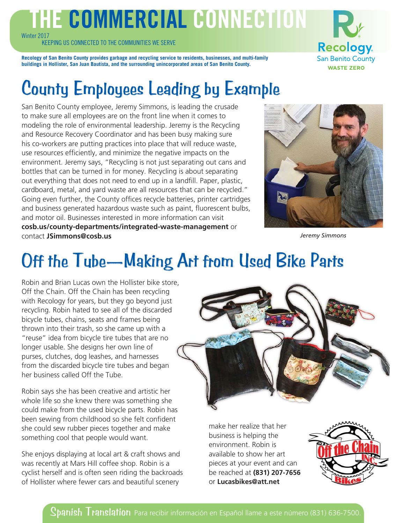# THE COMMERCIAL CONNECTION

Winter 2017

KEEPING US CONNECTED TO THE COMMUNITIES WE SERVE



**Recology of San Benito County provides garbage and recycling service to residents, businesses, and multi-family buildings in Hollister, San Juan Bautista, and the surrounding unincorporated areas of San Benito County.** 

## County Employees Leading by Example

San Benito County employee, Jeremy Simmons, is leading the crusade to make sure all employees are on the front line when it comes to modeling the role of environmental leadership. Jeremy is the Recycling and Resource Recovery Coordinator and has been busy making sure his co-workers are putting practices into place that will reduce waste, use resources efficiently, and minimize the negative impacts on the environment. Jeremy says, "Recycling is not just separating out cans and bottles that can be turned in for money. Recycling is about separating out everything that does not need to end up in a landfill. Paper, plastic, cardboard, metal, and yard waste are all resources that can be recycled." Going even further, the County offices recycle batteries, printer cartridges and business generated hazardous waste such as paint, fluorescent bulbs, and motor oil. Businesses interested in more information can visit **cosb.us/county-departments/integrated-waste-management** or contact **JSimmons@cosb.us**



*Jeremy Simmons*

## Off the Tube—Making Art from Used Bike Parts

Robin and Brian Lucas own the Hollister bike store, Off the Chain. Off the Chain has been recycling with Recology for years, but they go beyond just recycling. Robin hated to see all of the discarded bicycle tubes, chains, seats and frames being thrown into their trash, so she came up with a "reuse" idea from bicycle tire tubes that are no longer usable. She designs her own line of purses, clutches, dog leashes, and harnesses from the discarded bicycle tire tubes and began her business called Off the Tube.

Robin says she has been creative and artistic her whole life so she knew there was something she could make from the used bicycle parts. Robin has been sewing from childhood so she felt confident she could sew rubber pieces together and make something cool that people would want.

She enjoys displaying at local art & craft shows and was recently at Mars Hill coffee shop. Robin is a cyclist herself and is often seen riding the backroads of Hollister where fewer cars and beautiful scenery



make her realize that her business is helping the environment. Robin is available to show her art pieces at your event and can be reached at **(831) 207-7656** or **Lucasbikes@att.net**